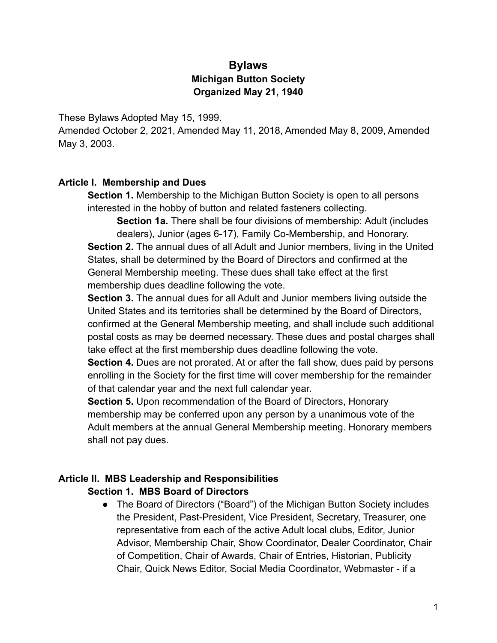# **Bylaws Michigan Button Society Organized May 21, 1940**

These Bylaws Adopted May 15, 1999.

Amended October 2, 2021, Amended May 11, 2018, Amended May 8, 2009, Amended May 3, 2003.

#### **Article I. Membership and Dues**

**Section 1.** Membership to the Michigan Button Society is open to all persons interested in the hobby of button and related fasteners collecting.

**Section 1a.** There shall be four divisions of membership: Adult (includes dealers), Junior (ages 6-17), Family Co-Membership, and Honorary. **Section 2.** The annual dues of all Adult and Junior members, living in the United States, shall be determined by the Board of Directors and confirmed at the General Membership meeting. These dues shall take effect at the first membership dues deadline following the vote.

**Section 3.** The annual dues for all Adult and Junior members living outside the United States and its territories shall be determined by the Board of Directors, confirmed at the General Membership meeting, and shall include such additional postal costs as may be deemed necessary. These dues and postal charges shall take effect at the first membership dues deadline following the vote.

**Section 4.** Dues are not prorated. At or after the fall show, dues paid by persons enrolling in the Society for the first time will cover membership for the remainder of that calendar year and the next full calendar year.

**Section 5.** Upon recommendation of the Board of Directors, Honorary membership may be conferred upon any person by a unanimous vote of the Adult members at the annual General Membership meeting. Honorary members shall not pay dues.

#### **Article II. MBS Leadership and Responsibilities Section 1. MBS Board of Directors**

● The Board of Directors ("Board") of the Michigan Button Society includes the President, Past-President, Vice President, Secretary, Treasurer, one representative from each of the active Adult local clubs, Editor, Junior Advisor, Membership Chair, Show Coordinator, Dealer Coordinator, Chair of Competition, Chair of Awards, Chair of Entries, Historian, Publicity Chair, Quick News Editor, Social Media Coordinator, Webmaster - if a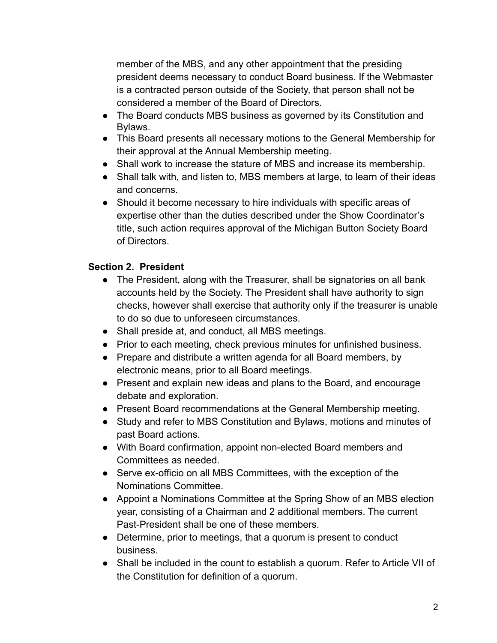member of the MBS, and any other appointment that the presiding president deems necessary to conduct Board business. If the Webmaster is a contracted person outside of the Society, that person shall not be considered a member of the Board of Directors.

- The Board conducts MBS business as governed by its Constitution and Bylaws.
- This Board presents all necessary motions to the General Membership for their approval at the Annual Membership meeting.
- Shall work to increase the stature of MBS and increase its membership.
- Shall talk with, and listen to, MBS members at large, to learn of their ideas and concerns.
- Should it become necessary to hire individuals with specific areas of expertise other than the duties described under the Show Coordinator's title, such action requires approval of the Michigan Button Society Board of Directors.

## **Section 2. President**

- The President, along with the Treasurer, shall be signatories on all bank accounts held by the Society. The President shall have authority to sign checks, however shall exercise that authority only if the treasurer is unable to do so due to unforeseen circumstances.
- Shall preside at, and conduct, all MBS meetings.
- Prior to each meeting, check previous minutes for unfinished business.
- Prepare and distribute a written agenda for all Board members, by electronic means, prior to all Board meetings.
- Present and explain new ideas and plans to the Board, and encourage debate and exploration.
- Present Board recommendations at the General Membership meeting.
- Study and refer to MBS Constitution and Bylaws, motions and minutes of past Board actions.
- With Board confirmation, appoint non-elected Board members and Committees as needed.
- Serve ex-officio on all MBS Committees, with the exception of the Nominations Committee.
- Appoint a Nominations Committee at the Spring Show of an MBS election year, consisting of a Chairman and 2 additional members. The current Past-President shall be one of these members.
- Determine, prior to meetings, that a quorum is present to conduct business.
- Shall be included in the count to establish a quorum. Refer to Article VII of the Constitution for definition of a quorum.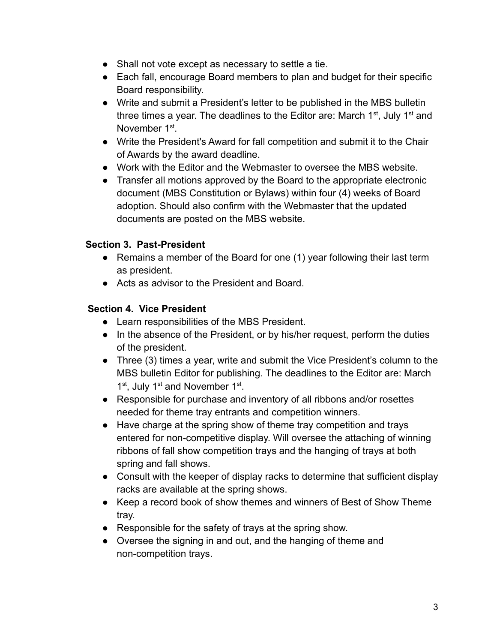- Shall not vote except as necessary to settle a tie.
- Each fall, encourage Board members to plan and budget for their specific Board responsibility.
- Write and submit a President's letter to be published in the MBS bulletin three times a year. The deadlines to the Editor are: March  $1<sup>st</sup>$ , July  $1<sup>st</sup>$  and November 1<sup>st</sup>.
- Write the President's Award for fall competition and submit it to the Chair of Awards by the award deadline.
- Work with the Editor and the Webmaster to oversee the MBS website.
- Transfer all motions approved by the Board to the appropriate electronic document (MBS Constitution or Bylaws) within four (4) weeks of Board adoption. Should also confirm with the Webmaster that the updated documents are posted on the MBS website.

## **Section 3. Past-President**

- Remains a member of the Board for one (1) year following their last term as president.
- Acts as advisor to the President and Board.

#### **Section 4. Vice President**

- Learn responsibilities of the MBS President.
- In the absence of the President, or by his/her request, perform the duties of the president.
- Three (3) times a year, write and submit the Vice President's column to the MBS bulletin Editor for publishing. The deadlines to the Editor are: March 1<sup>st</sup>, July 1<sup>st</sup> and November 1<sup>st</sup>.
- Responsible for purchase and inventory of all ribbons and/or rosettes needed for theme tray entrants and competition winners.
- Have charge at the spring show of theme tray competition and trays entered for non-competitive display. Will oversee the attaching of winning ribbons of fall show competition trays and the hanging of trays at both spring and fall shows.
- Consult with the keeper of display racks to determine that sufficient display racks are available at the spring shows.
- Keep a record book of show themes and winners of Best of Show Theme tray.
- Responsible for the safety of trays at the spring show.
- Oversee the signing in and out, and the hanging of theme and non-competition trays.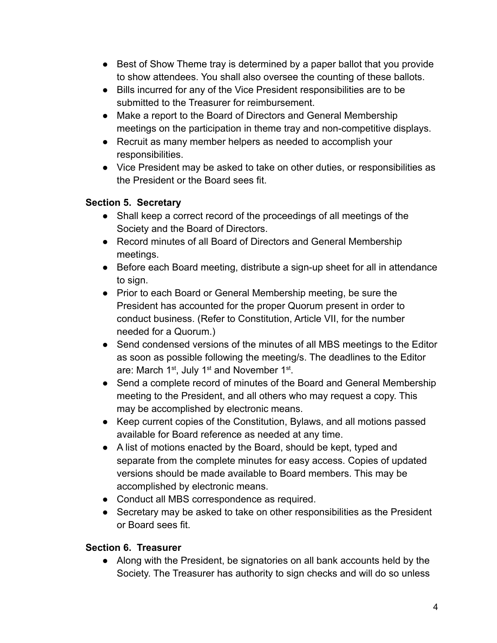- Best of Show Theme tray is determined by a paper ballot that you provide to show attendees. You shall also oversee the counting of these ballots.
- Bills incurred for any of the Vice President responsibilities are to be submitted to the Treasurer for reimbursement.
- Make a report to the Board of Directors and General Membership meetings on the participation in theme tray and non-competitive displays.
- Recruit as many member helpers as needed to accomplish your responsibilities.
- Vice President may be asked to take on other duties, or responsibilities as the President or the Board sees fit.

# **Section 5. Secretary**

- Shall keep a correct record of the proceedings of all meetings of the Society and the Board of Directors.
- Record minutes of all Board of Directors and General Membership meetings.
- Before each Board meeting, distribute a sign-up sheet for all in attendance to sign.
- Prior to each Board or General Membership meeting, be sure the President has accounted for the proper Quorum present in order to conduct business. (Refer to Constitution, Article VII, for the number needed for a Quorum.)
- Send condensed versions of the minutes of all MBS meetings to the Editor as soon as possible following the meeting/s. The deadlines to the Editor are: March 1<sup>st</sup>, July 1<sup>st</sup> and November 1<sup>st</sup>.
- Send a complete record of minutes of the Board and General Membership meeting to the President, and all others who may request a copy. This may be accomplished by electronic means.
- Keep current copies of the Constitution, Bylaws, and all motions passed available for Board reference as needed at any time.
- A list of motions enacted by the Board, should be kept, typed and separate from the complete minutes for easy access. Copies of updated versions should be made available to Board members. This may be accomplished by electronic means.
- Conduct all MBS correspondence as required.
- Secretary may be asked to take on other responsibilities as the President or Board sees fit.

## **Section 6. Treasurer**

● Along with the President, be signatories on all bank accounts held by the Society. The Treasurer has authority to sign checks and will do so unless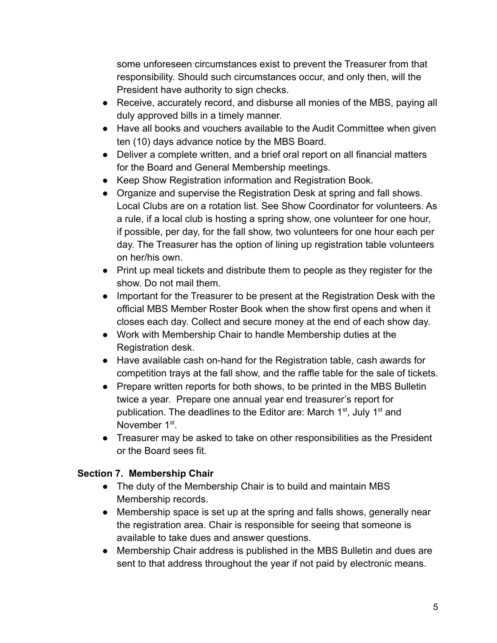some unforeseen circumstances exist to prevent the Treasurer from that responsibility. Should such circumstances occur, and only then, will the President have authority to sign checks.

- Receive, accurately record, and disburse all monies of the MBS, paying all duly approved bills in a timely manner.
- Have all books and vouchers available to the Audit Committee when given ten (10) days advance notice by the MBS Board.
- Deliver a complete written, and a brief oral report on all financial matters for the Board and General Membership meetings.
- Keep Show Registration information and Registration Book.
- Organize and supervise the Registration Desk at spring and fall shows. Local Clubs are on a rotation list. See Show Coordinator for volunteers. As a rule, if a local club is hosting a spring show, one volunteer for one hour, if possible, per day, for the fall show, two volunteers for one hour each per day. The Treasurer has the option of lining up registration table volunteers on her/his own.
- Print up meal tickets and distribute them to people as they register for the show. Do not mail them.
- Important for the Treasurer to be present at the Registration Desk with the official MBS Member Roster Book when the show first opens and when it closes each day. Collect and secure money at the end of each show day.
- Work with Membership Chair to handle Membership duties at the Registration desk.
- Have available cash on-hand for the Registration table, cash awards for competition trays at the fall show, and the raffle table for the sale of tickets.
- Prepare written reports for both shows, to be printed in the MBS Bulletin twice a year. Prepare one annual year end treasurer's report for publication. The deadlines to the Editor are: March 1<sup>st</sup>, July 1<sup>st</sup> and November 1st.
- Treasurer may be asked to take on other responsibilities as the President or the Board sees fit.

# **Section 7. Membership Chair**

- The duty of the Membership Chair is to build and maintain MBS Membership records.
- Membership space is set up at the spring and falls shows, generally near the registration area. Chair is responsible for seeing that someone is available to take dues and answer questions.
- Membership Chair address is published in the MBS Bulletin and dues are sent to that address throughout the year if not paid by electronic means.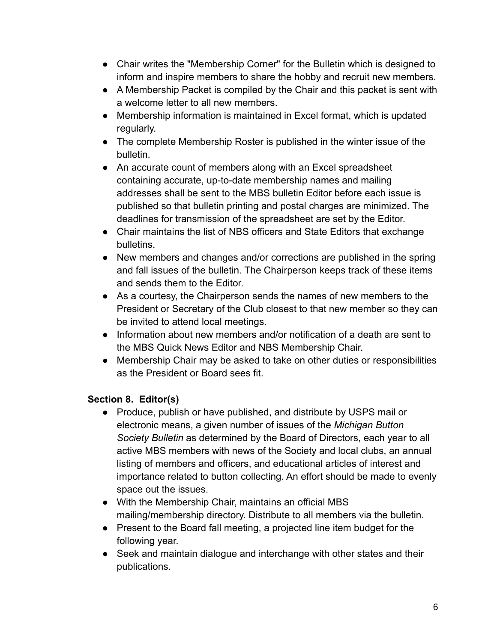- Chair writes the "Membership Corner" for the Bulletin which is designed to inform and inspire members to share the hobby and recruit new members.
- A Membership Packet is compiled by the Chair and this packet is sent with a welcome letter to all new members.
- Membership information is maintained in Excel format, which is updated regularly.
- The complete Membership Roster is published in the winter issue of the bulletin.
- An accurate count of members along with an Excel spreadsheet containing accurate, up-to-date membership names and mailing addresses shall be sent to the MBS bulletin Editor before each issue is published so that bulletin printing and postal charges are minimized. The deadlines for transmission of the spreadsheet are set by the Editor.
- Chair maintains the list of NBS officers and State Editors that exchange bulletins.
- New members and changes and/or corrections are published in the spring and fall issues of the bulletin. The Chairperson keeps track of these items and sends them to the Editor.
- As a courtesy, the Chairperson sends the names of new members to the President or Secretary of the Club closest to that new member so they can be invited to attend local meetings.
- Information about new members and/or notification of a death are sent to the MBS Quick News Editor and NBS Membership Chair.
- Membership Chair may be asked to take on other duties or responsibilities as the President or Board sees fit.

## **Section 8. Editor(s)**

- Produce, publish or have published, and distribute by USPS mail or electronic means, a given number of issues of the *Michigan Button Society Bulletin* as determined by the Board of Directors, each year to all active MBS members with news of the Society and local clubs, an annual listing of members and officers, and educational articles of interest and importance related to button collecting. An effort should be made to evenly space out the issues.
- With the Membership Chair, maintains an official MBS mailing/membership directory. Distribute to all members via the bulletin.
- Present to the Board fall meeting, a projected line item budget for the following year.
- Seek and maintain dialogue and interchange with other states and their publications.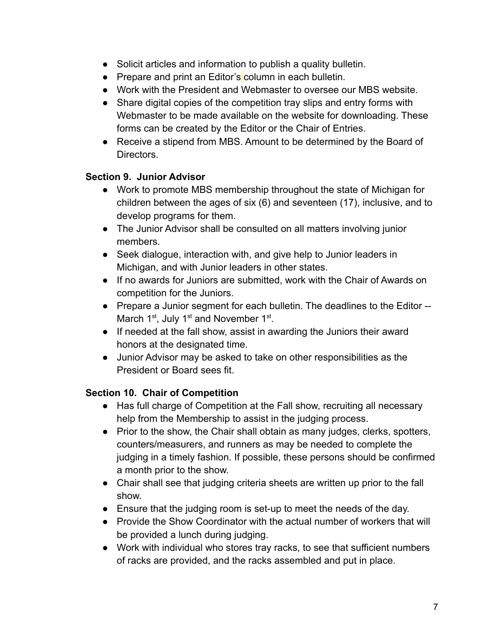- Solicit articles and information to publish a quality bulletin.
- Prepare and print an Editor's column in each bulletin.
- Work with the President and Webmaster to oversee our MBS website.
- Share digital copies of the competition tray slips and entry forms with Webmaster to be made available on the website for downloading. These forms can be created by the Editor or the Chair of Entries.
- Receive a stipend from MBS. Amount to be determined by the Board of Directors.

### **Section 9. Junior Advisor**

- Work to promote MBS membership throughout the state of Michigan for children between the ages of six (6) and seventeen (17), inclusive, and to develop programs for them.
- The Junior Advisor shall be consulted on all matters involving junior members.
- Seek dialogue, interaction with, and give help to Junior leaders in Michigan, and with Junior leaders in other states.
- If no awards for Juniors are submitted, work with the Chair of Awards on competition for the Juniors.
- Prepare a Junior segment for each bulletin. The deadlines to the Editor -- March 1<sup>st</sup>, July 1<sup>st</sup> and November 1<sup>st</sup>.
- If needed at the fall show, assist in awarding the Juniors their award honors at the designated time.
- Junior Advisor may be asked to take on other responsibilities as the President or Board sees fit.

## **Section 10. Chair of Competition**

- Has full charge of Competition at the Fall show, recruiting all necessary help from the Membership to assist in the judging process.
- Prior to the show, the Chair shall obtain as many judges, clerks, spotters, counters/measurers, and runners as may be needed to complete the judging in a timely fashion. If possible, these persons should be confirmed a month prior to the show.
- Chair shall see that judging criteria sheets are written up prior to the fall show.
- Ensure that the judging room is set-up to meet the needs of the day.
- Provide the Show Coordinator with the actual number of workers that will be provided a lunch during judging.
- Work with individual who stores tray racks, to see that sufficient numbers of racks are provided, and the racks assembled and put in place.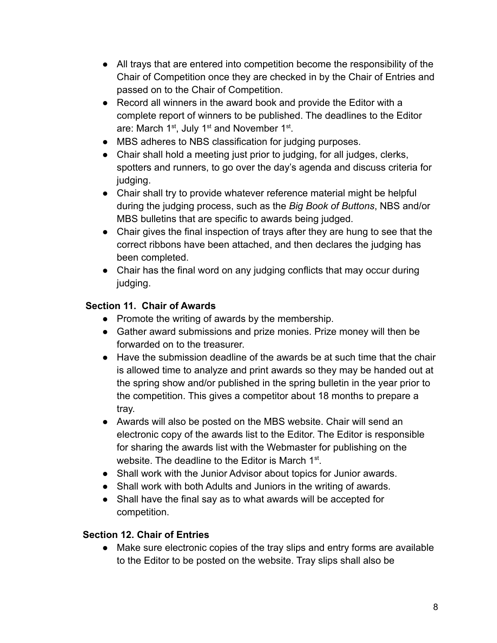- All trays that are entered into competition become the responsibility of the Chair of Competition once they are checked in by the Chair of Entries and passed on to the Chair of Competition.
- Record all winners in the award book and provide the Editor with a complete report of winners to be published. The deadlines to the Editor are: March 1<sup>st</sup>, July 1<sup>st</sup> and November 1<sup>st</sup>.
- MBS adheres to NBS classification for judging purposes.
- Chair shall hold a meeting just prior to judging, for all judges, clerks, spotters and runners, to go over the day's agenda and discuss criteria for judging.
- Chair shall try to provide whatever reference material might be helpful during the judging process, such as the *Big Book of Buttons*, NBS and/or MBS bulletins that are specific to awards being judged.
- Chair gives the final inspection of trays after they are hung to see that the correct ribbons have been attached, and then declares the judging has been completed.
- Chair has the final word on any judging conflicts that may occur during judging.

# **Section 11. Chair of Awards**

- Promote the writing of awards by the membership.
- Gather award submissions and prize monies. Prize money will then be forwarded on to the treasurer.
- Have the submission deadline of the awards be at such time that the chair is allowed time to analyze and print awards so they may be handed out at the spring show and/or published in the spring bulletin in the year prior to the competition. This gives a competitor about 18 months to prepare a tray.
- Awards will also be posted on the MBS website. Chair will send an electronic copy of the awards list to the Editor. The Editor is responsible for sharing the awards list with the Webmaster for publishing on the website. The deadline to the Editor is March  $1<sup>st</sup>$ .
- Shall work with the Junior Advisor about topics for Junior awards.
- Shall work with both Adults and Juniors in the writing of awards.
- Shall have the final say as to what awards will be accepted for competition.

## **Section 12. Chair of Entries**

• Make sure electronic copies of the tray slips and entry forms are available to the Editor to be posted on the website. Tray slips shall also be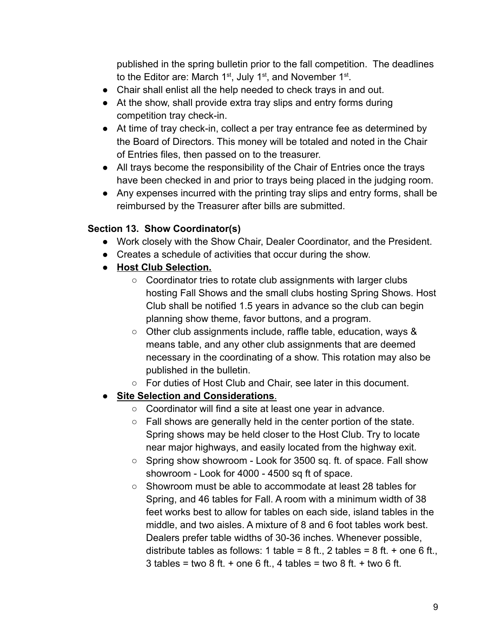published in the spring bulletin prior to the fall competition. The deadlines to the Editor are: March  $1<sup>st</sup>$ , July  $1<sup>st</sup>$ , and November  $1<sup>st</sup>$ .

- Chair shall enlist all the help needed to check trays in and out.
- At the show, shall provide extra tray slips and entry forms during competition tray check-in.
- At time of tray check-in, collect a per tray entrance fee as determined by the Board of Directors. This money will be totaled and noted in the Chair of Entries files, then passed on to the treasurer.
- All trays become the responsibility of the Chair of Entries once the trays have been checked in and prior to trays being placed in the judging room.
- Any expenses incurred with the printing tray slips and entry forms, shall be reimbursed by the Treasurer after bills are submitted.

### **Section 13. Show Coordinator(s)**

- Work closely with the Show Chair, Dealer Coordinator, and the President.
- Creates a schedule of activities that occur during the show.
- **Host Club Selection.**
	- Coordinator tries to rotate club assignments with larger clubs hosting Fall Shows and the small clubs hosting Spring Shows. Host Club shall be notified 1.5 years in advance so the club can begin planning show theme, favor buttons, and a program.
	- Other club assignments include, raffle table, education, ways & means table, and any other club assignments that are deemed necessary in the coordinating of a show. This rotation may also be published in the bulletin.
	- For duties of Host Club and Chair, see later in this document.

## ● **Site Selection and Considerations**.

- Coordinator will find a site at least one year in advance.
- Fall shows are generally held in the center portion of the state. Spring shows may be held closer to the Host Club. Try to locate near major highways, and easily located from the highway exit.
- Spring show showroom Look for 3500 sq. ft. of space. Fall show showroom - Look for 4000 - 4500 sq ft of space.
- Showroom must be able to accommodate at least 28 tables for Spring, and 46 tables for Fall. A room with a minimum width of 38 feet works best to allow for tables on each side, island tables in the middle, and two aisles. A mixture of 8 and 6 foot tables work best. Dealers prefer table widths of 30-36 inches. Whenever possible, distribute tables as follows: 1 table =  $8$  ft., 2 tables =  $8$  ft. + one  $6$  ft.,  $3$  tables = two 8 ft. + one 6 ft., 4 tables = two 8 ft. + two 6 ft.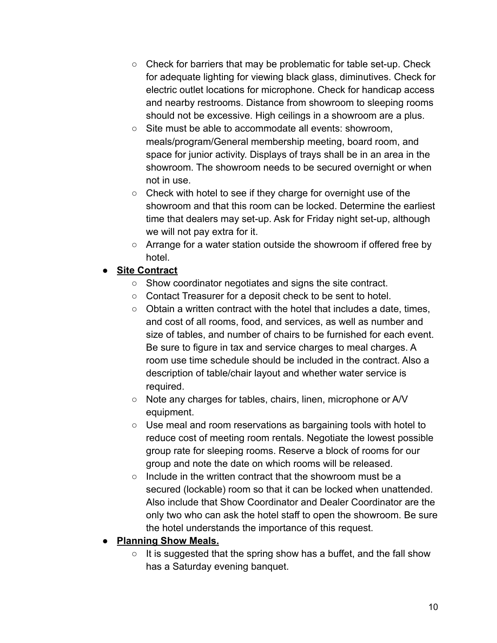- $\circ$  Check for barriers that may be problematic for table set-up. Check for adequate lighting for viewing black glass, diminutives. Check for electric outlet locations for microphone. Check for handicap access and nearby restrooms. Distance from showroom to sleeping rooms should not be excessive. High ceilings in a showroom are a plus.
- Site must be able to accommodate all events: showroom, meals/program/General membership meeting, board room, and space for junior activity. Displays of trays shall be in an area in the showroom. The showroom needs to be secured overnight or when not in use.
- Check with hotel to see if they charge for overnight use of the showroom and that this room can be locked. Determine the earliest time that dealers may set-up. Ask for Friday night set-up, although we will not pay extra for it.
- Arrange for a water station outside the showroom if offered free by hotel.

# ● **Site Contract**

- Show coordinator negotiates and signs the site contract.
- Contact Treasurer for a deposit check to be sent to hotel.
- Obtain a written contract with the hotel that includes a date, times, and cost of all rooms, food, and services, as well as number and size of tables, and number of chairs to be furnished for each event. Be sure to figure in tax and service charges to meal charges. A room use time schedule should be included in the contract. Also a description of table/chair layout and whether water service is required.
- Note any charges for tables, chairs, linen, microphone or A/V equipment.
- Use meal and room reservations as bargaining tools with hotel to reduce cost of meeting room rentals. Negotiate the lowest possible group rate for sleeping rooms. Reserve a block of rooms for our group and note the date on which rooms will be released.
- Include in the written contract that the showroom must be a secured (lockable) room so that it can be locked when unattended. Also include that Show Coordinator and Dealer Coordinator are the only two who can ask the hotel staff to open the showroom. Be sure the hotel understands the importance of this request.

# ● **Planning Show Meals.**

 $\circ$  It is suggested that the spring show has a buffet, and the fall show has a Saturday evening banquet.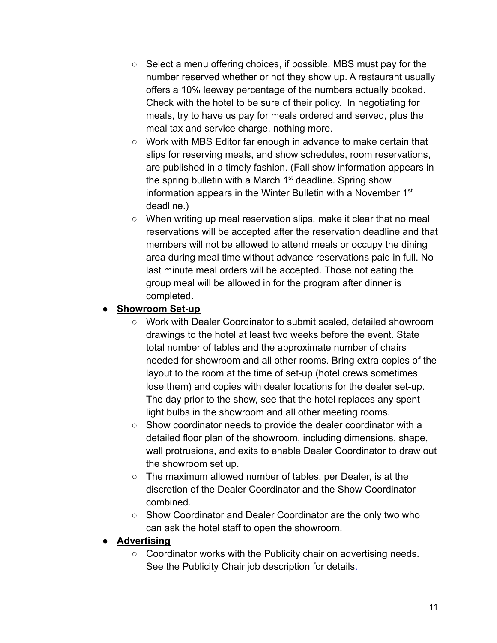- $\circ$  Select a menu offering choices, if possible. MBS must pay for the number reserved whether or not they show up. A restaurant usually offers a 10% leeway percentage of the numbers actually booked. Check with the hotel to be sure of their policy. In negotiating for meals, try to have us pay for meals ordered and served, plus the meal tax and service charge, nothing more.
- Work with MBS Editor far enough in advance to make certain that slips for reserving meals, and show schedules, room reservations, are published in a timely fashion. (Fall show information appears in the spring bulletin with a March  $1<sup>st</sup>$  deadline. Spring show information appears in the Winter Bulletin with a November 1<sup>st</sup> deadline.)
- When writing up meal reservation slips, make it clear that no meal reservations will be accepted after the reservation deadline and that members will not be allowed to attend meals or occupy the dining area during meal time without advance reservations paid in full. No last minute meal orders will be accepted. Those not eating the group meal will be allowed in for the program after dinner is completed.

#### **Showroom Set-up**

- Work with Dealer Coordinator to submit scaled, detailed showroom drawings to the hotel at least two weeks before the event. State total number of tables and the approximate number of chairs needed for showroom and all other rooms. Bring extra copies of the layout to the room at the time of set-up (hotel crews sometimes lose them) and copies with dealer locations for the dealer set-up. The day prior to the show, see that the hotel replaces any spent light bulbs in the showroom and all other meeting rooms.
- Show coordinator needs to provide the dealer coordinator with a detailed floor plan of the showroom, including dimensions, shape, wall protrusions, and exits to enable Dealer Coordinator to draw out the showroom set up.
- The maximum allowed number of tables, per Dealer, is at the discretion of the Dealer Coordinator and the Show Coordinator combined.
- Show Coordinator and Dealer Coordinator are the only two who can ask the hotel staff to open the showroom.

## ● **Advertising**

○ Coordinator works with the Publicity chair on advertising needs. See the Publicity Chair job description for details.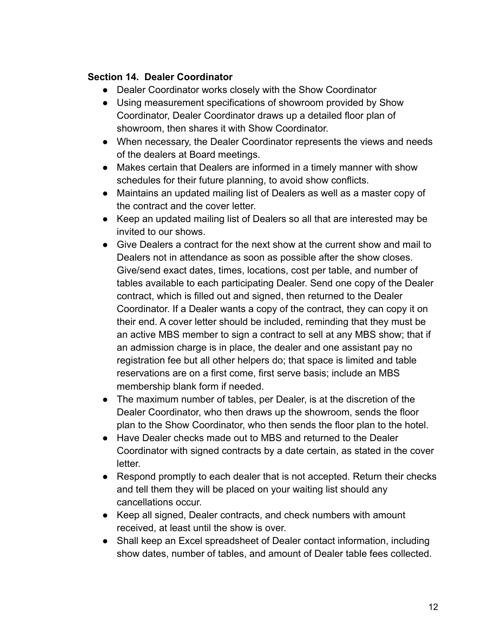#### **Section 14. Dealer Coordinator**

- Dealer Coordinator works closely with the Show Coordinator
- Using measurement specifications of showroom provided by Show Coordinator, Dealer Coordinator draws up a detailed floor plan of showroom, then shares it with Show Coordinator.
- When necessary, the Dealer Coordinator represents the views and needs of the dealers at Board meetings.
- Makes certain that Dealers are informed in a timely manner with show schedules for their future planning, to avoid show conflicts.
- Maintains an updated mailing list of Dealers as well as a master copy of the contract and the cover letter.
- Keep an updated mailing list of Dealers so all that are interested may be invited to our shows.
- Give Dealers a contract for the next show at the current show and mail to Dealers not in attendance as soon as possible after the show closes. Give/send exact dates, times, locations, cost per table, and number of tables available to each participating Dealer. Send one copy of the Dealer contract, which is filled out and signed, then returned to the Dealer Coordinator. If a Dealer wants a copy of the contract, they can copy it on their end. A cover letter should be included, reminding that they must be an active MBS member to sign a contract to sell at any MBS show; that if an admission charge is in place, the dealer and one assistant pay no registration fee but all other helpers do; that space is limited and table reservations are on a first come, first serve basis; include an MBS membership blank form if needed.
- The maximum number of tables, per Dealer, is at the discretion of the Dealer Coordinator, who then draws up the showroom, sends the floor plan to the Show Coordinator, who then sends the floor plan to the hotel.
- Have Dealer checks made out to MBS and returned to the Dealer Coordinator with signed contracts by a date certain, as stated in the cover letter.
- Respond promptly to each dealer that is not accepted. Return their checks and tell them they will be placed on your waiting list should any cancellations occur.
- Keep all signed, Dealer contracts, and check numbers with amount received, at least until the show is over.
- Shall keep an Excel spreadsheet of Dealer contact information, including show dates, number of tables, and amount of Dealer table fees collected.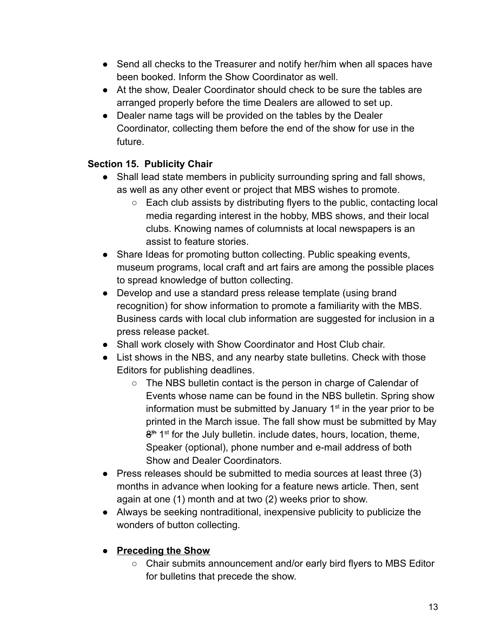- Send all checks to the Treasurer and notify her/him when all spaces have been booked. Inform the Show Coordinator as well.
- At the show, Dealer Coordinator should check to be sure the tables are arranged properly before the time Dealers are allowed to set up.
- Dealer name tags will be provided on the tables by the Dealer Coordinator, collecting them before the end of the show for use in the future.

# **Section 15. Publicity Chair**

- Shall lead state members in publicity surrounding spring and fall shows, as well as any other event or project that MBS wishes to promote.
	- Each club assists by distributing flyers to the public, contacting local media regarding interest in the hobby, MBS shows, and their local clubs. Knowing names of columnists at local newspapers is an assist to feature stories.
- Share Ideas for promoting button collecting. Public speaking events, museum programs, local craft and art fairs are among the possible places to spread knowledge of button collecting.
- Develop and use a standard press release template (using brand recognition) for show information to promote a familiarity with the MBS. Business cards with local club information are suggested for inclusion in a press release packet.
- Shall work closely with Show Coordinator and Host Club chair.
- List shows in the NBS, and any nearby state bulletins. Check with those Editors for publishing deadlines.
	- The NBS bulletin contact is the person in charge of Calendar of Events whose name can be found in the NBS bulletin. Spring show information must be submitted by January  $1<sup>st</sup>$  in the year prior to be printed in the March issue. The fall show must be submitted by May  $8<sup>th</sup> 1<sup>st</sup>$  for the July bulletin. include dates, hours, location, theme, Speaker (optional), phone number and e-mail address of both Show and Dealer Coordinators.
- Press releases should be submitted to media sources at least three (3) months in advance when looking for a feature news article. Then, sent again at one (1) month and at two (2) weeks prior to show.
- Always be seeking nontraditional, inexpensive publicity to publicize the wonders of button collecting.

## **● Preceding the Show**

**○** Chair submits announcement and/or early bird flyers to MBS Editor for bulletins that precede the show.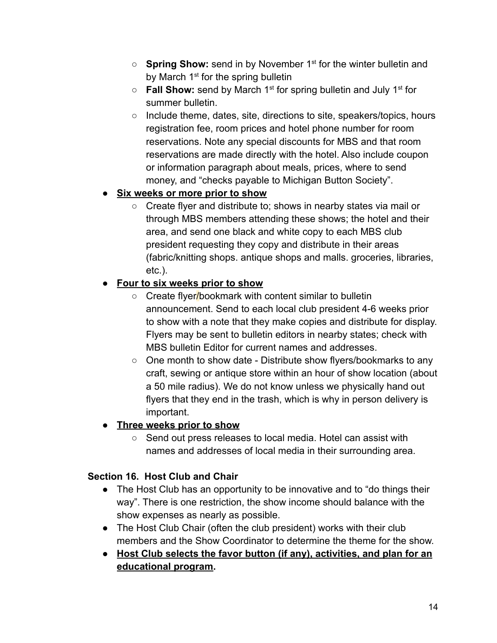- **Spring Show:** send in by November 1<sup>st</sup> for the winter bulletin and by March 1<sup>st</sup> for the spring bulletin
- **Fall Show:** send by March 1<sup>st</sup> for spring bulletin and July 1<sup>st</sup> for summer bulletin.
- Include theme, dates, site, directions to site, speakers/topics, hours registration fee, room prices and hotel phone number for room reservations. Note any special discounts for MBS and that room reservations are made directly with the hotel. Also include coupon or information paragraph about meals, prices, where to send money, and "checks payable to Michigan Button Society".

# **● Six weeks or more prior to show**

○ Create flyer and distribute to; shows in nearby states via mail or through MBS members attending these shows; the hotel and their area, and send one black and white copy to each MBS club president requesting they copy and distribute in their areas (fabric/knitting shops. antique shops and malls. groceries, libraries, etc.).

## **● Four to six weeks prior to show**

- Create flyer/bookmark with content similar to bulletin announcement. Send to each local club president 4-6 weeks prior to show with a note that they make copies and distribute for display. Flyers may be sent to bulletin editors in nearby states; check with MBS bulletin Editor for current names and addresses.
- One month to show date Distribute show flyers/bookmarks to any craft, sewing or antique store within an hour of show location (about a 50 mile radius). We do not know unless we physically hand out flyers that they end in the trash, which is why in person delivery is important.

# **● Three weeks prior to show**

**○** Send out press releases to local media. Hotel can assist with names and addresses of local media in their surrounding area.

## **Section 16. Host Club and Chair**

- The Host Club has an opportunity to be innovative and to "do things their way". There is one restriction, the show income should balance with the show expenses as nearly as possible.
- The Host Club Chair (often the club president) works with their club members and the Show Coordinator to determine the theme for the show.
- **Host Club selects the favor button (if any), activities, and plan for an educational program.**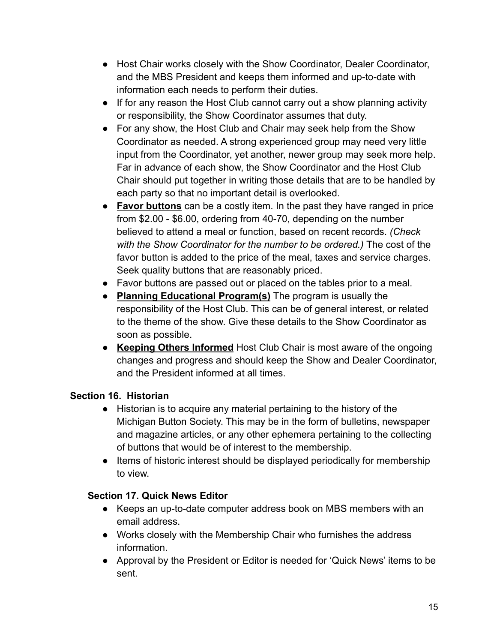- Host Chair works closely with the Show Coordinator, Dealer Coordinator, and the MBS President and keeps them informed and up-to-date with information each needs to perform their duties.
- If for any reason the Host Club cannot carry out a show planning activity or responsibility, the Show Coordinator assumes that duty.
- For any show, the Host Club and Chair may seek help from the Show Coordinator as needed. A strong experienced group may need very little input from the Coordinator, yet another, newer group may seek more help. Far in advance of each show, the Show Coordinator and the Host Club Chair should put together in writing those details that are to be handled by each party so that no important detail is overlooked.
- **Favor buttons** can be a costly item. In the past they have ranged in price from \$2.00 - \$6.00, ordering from 40-70, depending on the number believed to attend a meal or function, based on recent records. *(Check with the Show Coordinator for the number to be ordered.)* The cost of the favor button is added to the price of the meal, taxes and service charges. Seek quality buttons that are reasonably priced.
- Favor buttons are passed out or placed on the tables prior to a meal.
- **Planning Educational Program(s)** The program is usually the responsibility of the Host Club. This can be of general interest, or related to the theme of the show. Give these details to the Show Coordinator as soon as possible.
- **Keeping Others Informed** Host Club Chair is most aware of the ongoing changes and progress and should keep the Show and Dealer Coordinator, and the President informed at all times.

## **Section 16. Historian**

- Historian is to acquire any material pertaining to the history of the Michigan Button Society. This may be in the form of bulletins, newspaper and magazine articles, or any other ephemera pertaining to the collecting of buttons that would be of interest to the membership.
- Items of historic interest should be displayed periodically for membership to view.

## **Section 17. Quick News Editor**

- Keeps an up-to-date computer address book on MBS members with an email address.
- Works closely with the Membership Chair who furnishes the address information.
- Approval by the President or Editor is needed for 'Quick News' items to be sent.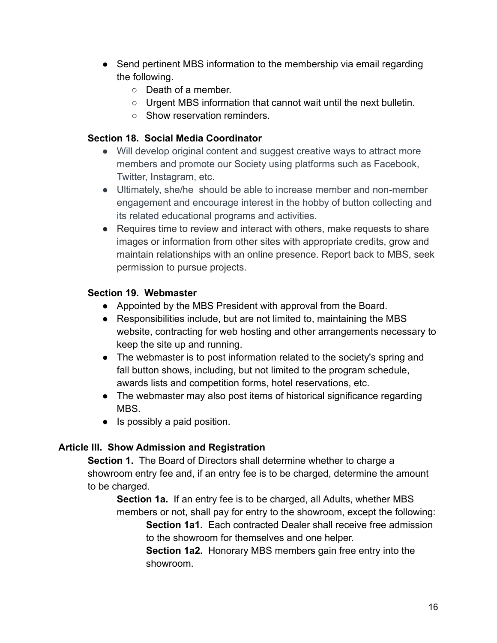- Send pertinent MBS information to the membership via email regarding the following.
	- Death of a member.
	- Urgent MBS information that cannot wait until the next bulletin.
	- Show reservation reminders.

#### **Section 18. Social Media Coordinator**

- Will develop original content and suggest creative ways to attract more members and promote our Society using platforms such as Facebook, Twitter, Instagram, etc.
- Ultimately, she/he should be able to increase member and non-member engagement and encourage interest in the hobby of button collecting and its related educational programs and activities.
- Requires time to review and interact with others, make requests to share images or information from other sites with appropriate credits, grow and maintain relationships with an online presence. Report back to MBS, seek permission to pursue projects.

### **Section 19. Webmaster**

- Appointed by the MBS President with approval from the Board.
- Responsibilities include, but are not limited to, maintaining the MBS website, contracting for web hosting and other arrangements necessary to keep the site up and running.
- The webmaster is to post information related to the society's spring and fall button shows, including, but not limited to the program schedule, awards lists and competition forms, hotel reservations, etc.
- The webmaster may also post items of historical significance regarding MBS.
- Is possibly a paid position.

## **Article III. Show Admission and Registration**

**Section 1.** The Board of Directors shall determine whether to charge a showroom entry fee and, if an entry fee is to be charged, determine the amount to be charged.

**Section 1a.** If an entry fee is to be charged, all Adults, whether MBS members or not, shall pay for entry to the showroom, except the following:

**Section 1a1.** Each contracted Dealer shall receive free admission to the showroom for themselves and one helper.

**Section 1a2.** Honorary MBS members gain free entry into the showroom.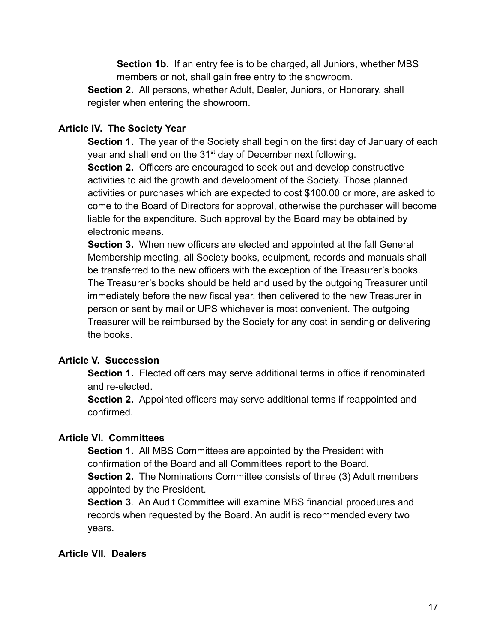**Section 1b.** If an entry fee is to be charged, all Juniors, whether MBS members or not, shall gain free entry to the showroom.

**Section 2.** All persons, whether Adult, Dealer, Juniors, or Honorary, shall register when entering the showroom.

### **Article IV. The Society Year**

**Section 1.** The year of the Society shall begin on the first day of January of each year and shall end on the 31<sup>st</sup> day of December next following.

**Section 2.** Officers are encouraged to seek out and develop constructive activities to aid the growth and development of the Society. Those planned activities or purchases which are expected to cost \$100.00 or more, are asked to come to the Board of Directors for approval, otherwise the purchaser will become liable for the expenditure. Such approval by the Board may be obtained by electronic means.

**Section 3.** When new officers are elected and appointed at the fall General Membership meeting, all Society books, equipment, records and manuals shall be transferred to the new officers with the exception of the Treasurer's books. The Treasurer's books should be held and used by the outgoing Treasurer until immediately before the new fiscal year, then delivered to the new Treasurer in person or sent by mail or UPS whichever is most convenient. The outgoing Treasurer will be reimbursed by the Society for any cost in sending or delivering the books.

#### **Article V. Succession**

**Section 1.** Elected officers may serve additional terms in office if renominated and re-elected.

**Section 2.** Appointed officers may serve additional terms if reappointed and confirmed.

## **Article VI. Committees**

**Section 1.** All MBS Committees are appointed by the President with confirmation of the Board and all Committees report to the Board. **Section 2.** The Nominations Committee consists of three (3) Adult members

appointed by the President.

**Section 3**. An Audit Committee will examine MBS financial procedures and records when requested by the Board. An audit is recommended every two years.

#### **Article VII. Dealers**